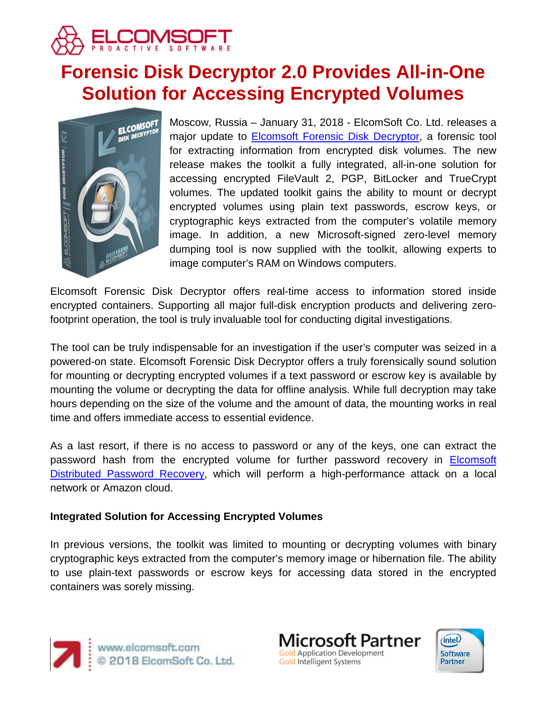

# **Forensic Disk Decryptor 2.0 Provides All-in-One Solution for Accessing Encrypted Volumes**



Moscow, Russia – January 31, 2018 - ElcomSoft Co. Ltd. releases a major update to [Elcomsoft Forensic Disk Decryptor,](https://www.elcomsoft.com/efdd.html) a forensic tool for extracting information from encrypted disk volumes. The new release makes the toolkit a fully integrated, all-in-one solution for accessing encrypted FileVault 2, PGP, BitLocker and TrueCrypt volumes. The updated toolkit gains the ability to mount or decrypt encrypted volumes using plain text passwords, escrow keys, or cryptographic keys extracted from the computer's volatile memory image. In addition, a new Microsoft-signed zero-level memory dumping tool is now supplied with the toolkit, allowing experts to image computer's RAM on Windows computers.

Elcomsoft Forensic Disk Decryptor offers real-time access to information stored inside encrypted containers. Supporting all major full-disk encryption products and delivering zerofootprint operation, the tool is truly invaluable tool for conducting digital investigations.

The tool can be truly indispensable for an investigation if the user's computer was seized in a powered-on state. Elcomsoft Forensic Disk Decryptor offers a truly forensically sound solution for mounting or decrypting encrypted volumes if a text password or escrow key is available by mounting the volume or decrypting the data for offline analysis. While full decryption may take hours depending on the size of the volume and the amount of data, the mounting works in real time and offers immediate access to essential evidence.

As a last resort, if there is no access to password or any of the keys, one can extract the password hash from the encrypted volume for further password recovery in [Elcomsoft](https://www.elcomsoft.com/edpr.html)  [Distributed Password Recovery,](https://www.elcomsoft.com/edpr.html) which will perform a high-performance attack on a local network or Amazon cloud.

# **Integrated Solution for Accessing Encrypted Volumes**

In previous versions, the toolkit was limited to mounting or decrypting volumes with binary cryptographic keys extracted from the computer's memory image or hibernation file. The ability to use plain-text passwords or escrow keys for accessing data stored in the encrypted containers was sorely missing.





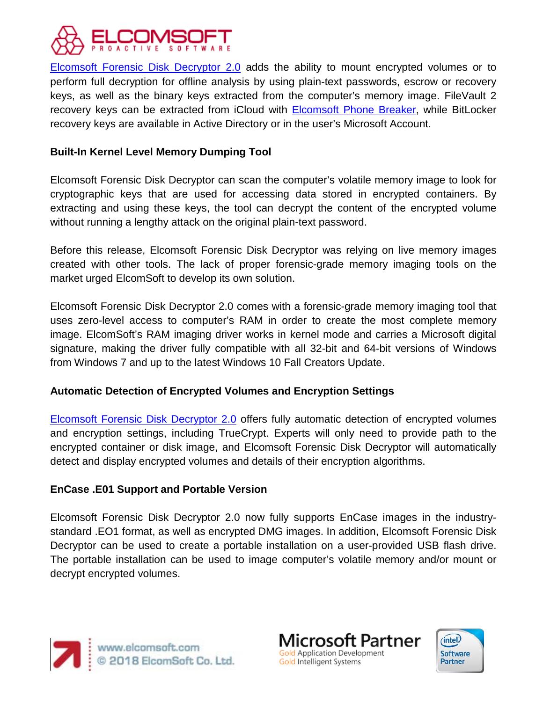

[Elcomsoft Forensic Disk Decryptor 2.0](https://www.elcomsoft.com/efdd.html) adds the ability to mount encrypted volumes or to perform full decryption for offline analysis by using plain-text passwords, escrow or recovery keys, as well as the binary keys extracted from the computer's memory image. FileVault 2 recovery keys can be extracted from iCloud with **Elcomsoft Phone Breaker**, while BitLocker recovery keys are available in Active Directory or in the user's Microsoft Account.

### **Built-In Kernel Level Memory Dumping Tool**

Elcomsoft Forensic Disk Decryptor can scan the computer's volatile memory image to look for cryptographic keys that are used for accessing data stored in encrypted containers. By extracting and using these keys, the tool can decrypt the content of the encrypted volume without running a lengthy attack on the original plain-text password.

Before this release, Elcomsoft Forensic Disk Decryptor was relying on live memory images created with other tools. The lack of proper forensic-grade memory imaging tools on the market urged ElcomSoft to develop its own solution.

Elcomsoft Forensic Disk Decryptor 2.0 comes with a forensic-grade memory imaging tool that uses zero-level access to computer's RAM in order to create the most complete memory image. ElcomSoft's RAM imaging driver works in kernel mode and carries a Microsoft digital signature, making the driver fully compatible with all 32-bit and 64-bit versions of Windows from Windows 7 and up to the latest Windows 10 Fall Creators Update.

#### **Automatic Detection of Encrypted Volumes and Encryption Settings**

[Elcomsoft Forensic Disk Decryptor 2.0](https://www.elcomsoft.com/efdd.html) offers fully automatic detection of encrypted volumes and encryption settings, including TrueCrypt. Experts will only need to provide path to the encrypted container or disk image, and Elcomsoft Forensic Disk Decryptor will automatically detect and display encrypted volumes and details of their encryption algorithms.

#### **EnCase .E01 Support and Portable Version**

Elcomsoft Forensic Disk Decryptor 2.0 now fully supports EnCase images in the industrystandard .EO1 format, as well as encrypted DMG images. In addition, Elcomsoft Forensic Disk Decryptor can be used to create a portable installation on a user-provided USB flash drive. The portable installation can be used to image computer's volatile memory and/or mount or decrypt encrypted volumes.



Microsoft Partner Gold Application Development Gold Intelligent Systems